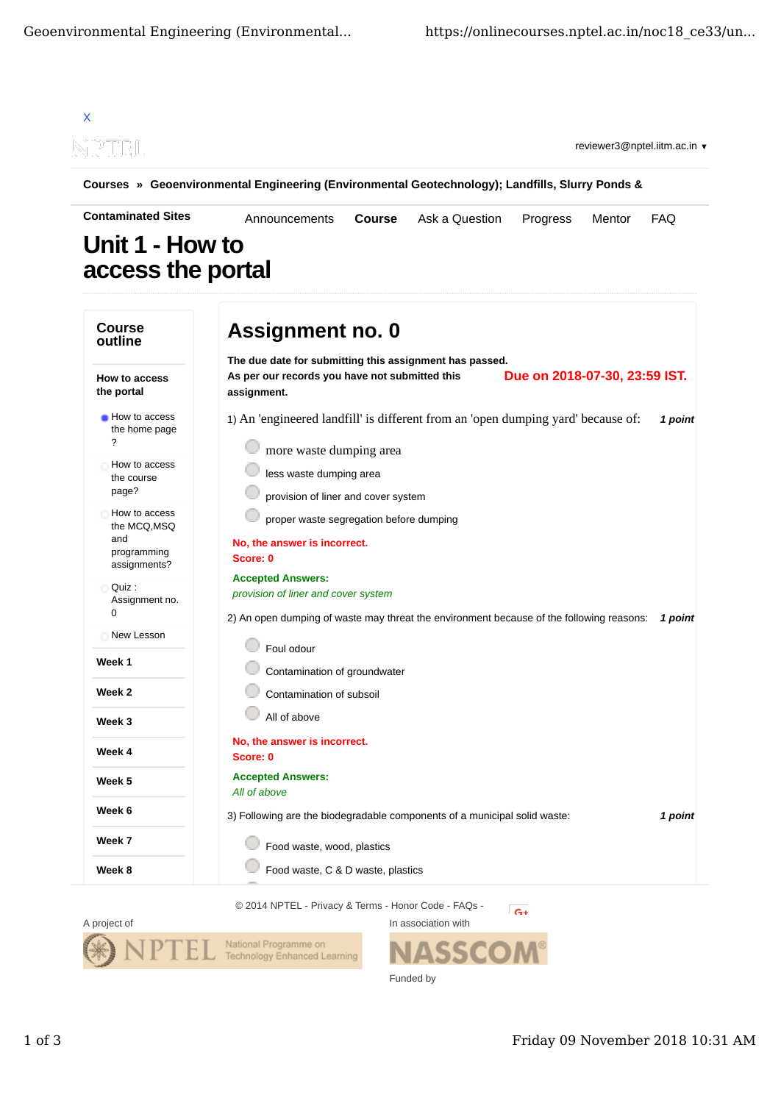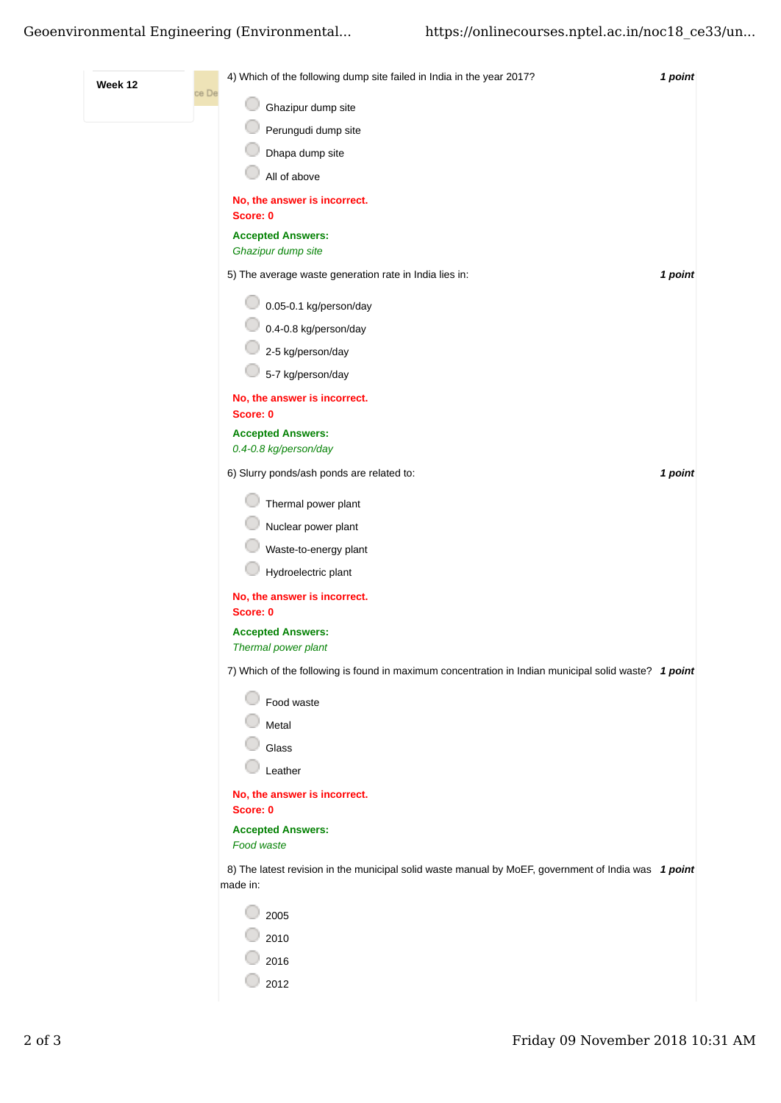## Geoenvironmental Engineering (Environmental... https://onlinecourses.nptel.ac.in/noc18\_ce33/un...

| Week 12 |       | 4) Which of the following dump site failed in India in the year 2017?                                           | 1 point |
|---------|-------|-----------------------------------------------------------------------------------------------------------------|---------|
|         | ce De | Ghazipur dump site                                                                                              |         |
|         |       | Perungudi dump site                                                                                             |         |
|         |       | Dhapa dump site                                                                                                 |         |
|         |       | All of above                                                                                                    |         |
|         |       | No, the answer is incorrect.                                                                                    |         |
|         |       | Score: 0                                                                                                        |         |
|         |       | <b>Accepted Answers:</b><br>Ghazipur dump site                                                                  |         |
|         |       | 5) The average waste generation rate in India lies in:                                                          | 1 point |
|         |       | 0.05-0.1 kg/person/day                                                                                          |         |
|         |       | 0.4-0.8 kg/person/day                                                                                           |         |
|         |       | 2-5 kg/person/day                                                                                               |         |
|         |       | 5-7 kg/person/day                                                                                               |         |
|         |       | No, the answer is incorrect.<br>Score: 0                                                                        |         |
|         |       | <b>Accepted Answers:</b>                                                                                        |         |
|         |       | 0.4-0.8 kg/person/day                                                                                           |         |
|         |       | 6) Slurry ponds/ash ponds are related to:                                                                       | 1 point |
|         |       | Thermal power plant                                                                                             |         |
|         |       | Nuclear power plant                                                                                             |         |
|         |       | Waste-to-energy plant                                                                                           |         |
|         |       | Hydroelectric plant                                                                                             |         |
|         |       | No, the answer is incorrect.<br>Score: 0                                                                        |         |
|         |       | <b>Accepted Answers:</b>                                                                                        |         |
|         |       | Thermal power plant                                                                                             |         |
|         |       | 7) Which of the following is found in maximum concentration in Indian municipal solid waste? 1 point            |         |
|         |       | Food waste                                                                                                      |         |
|         |       | Metal                                                                                                           |         |
|         |       | Glass                                                                                                           |         |
|         |       | Leather                                                                                                         |         |
|         |       | No, the answer is incorrect.<br>Score: 0                                                                        |         |
|         |       | <b>Accepted Answers:</b>                                                                                        |         |
|         |       | Food waste                                                                                                      |         |
|         |       | 8) The latest revision in the municipal solid waste manual by MoEF, government of India was 1 point<br>made in: |         |
|         |       | 2005                                                                                                            |         |
|         |       | 2010                                                                                                            |         |
|         |       | 2016                                                                                                            |         |
|         |       | 2012                                                                                                            |         |
|         |       |                                                                                                                 |         |